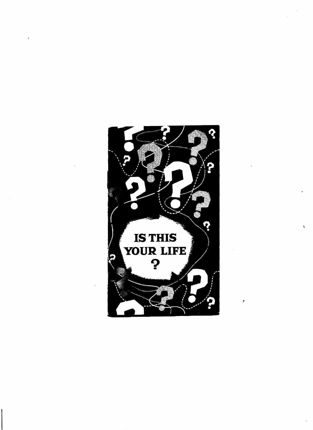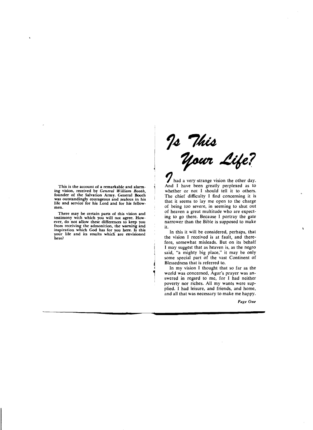This is the account of a remarkable and alarm· ing vision, received by *General William Booth,*  founder of the Salvation Army. General Booth was outstandingly courageous and zealous in his life and service for his Lord and for his fellow· men.

There may be certain parts of this vision and testimony with which you will not agree. How· ever, do not allow these differences to keep you from receiving the admonition, the warning and inspiration which God has for you here. Is this your life and its results which are envisioned here?

*'}474i4*  Your Life? T had a very strange vision the other day.

And I have been greatly perplexed as to whether or not I should tell it to others. The chief difficulty I find concerning it is that it seems to lay me open to the charge of being too severe, in seeming to shut out of heaven a great multitude who are expecting to go there. Because I portray the gate narrower than the Bible is supposed to make it.

In this it will be considered, perhaps, that the vision I received is at fault, and therefore, somewhat misleads. But on its behalf I may suggest that as heaven is, as the negro said, "a mighty big place," it may be only some special part of the vast Continent of Blessedness that is referred to.

In my vision I thought that so far as the world was concerned, Agur's prayer was answered in regard to me, for I had neither poverty nor riches. All my wants were supplied. I had leisure, and friends, and home, and all that was necessary to make me happy.

,

*Page One*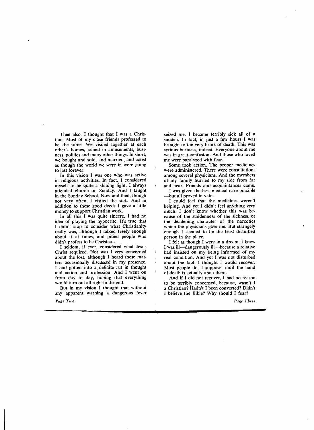Then also, I thought that I was a Christian. Most of my close friends professed to be the same. We visited together at each other's homes, joined in amusements, business, politics and many other things. In short, we bought and sold, and married, and acted as though the world we were in were going to last forever.

In this vision I was one who was active in religious activities. In fact, I considered myself to be quite a shining light. I always attended church on Sunday. And I taught in the Sunday School. Now and then, though not very often, I visited the sick. And in addition to these good deeds I gave a little money to support Christian work.

In all this I was quite sincere. I had no idea of playing the hypocrite. It's true that I didn't stop to consider what Christianity really was, although I talked freely enough about it at times, and pitied people who didn't profess to be Christians.

I seldom, if ever, considered what Jesus Christ required. Nor was I very concerned about the lost, although I heard these matters occasionally discussed in my presence. I had gotten into a definite rut in thought and action and profession. And I went on from day to day, hoping that everything would tum out all right in the end.

But in my vision I thought that without any apparent warning a dangerous fever

seized me. I became terribly sick all of a sudden. In fact, in just a few hours I was brought to the very brink of death. This was serious business, indeed. Everyone about me was in great confusion. And those who loved me were paralyzed with fear.

Some took action. The proper medicines were administered. There were consultations among several physicians. And the members of my family hurried to my side from far and near. Friends and acquaintances came.

I was given the best medical care possible -but all proved in vain.

I could feel that the medicines weren't helping. And yet I didn't feel anything very much. I don't know whether this was because of the suddenness of the sickness or the deadening character of the narcotics which the physicians gave me. But strangely enough I seemed to be the least disturbed person in the place.

I felt as though I were in a dream. I knew I was ill--dangerously ill--because a relative had insisted on my being informed of my real condition. And yet I was not disturbed about the fact. I thought I would recover. Most people do, I suppose, until the hand of death is actually upon them.

And if I did not recover, I had no reason to be terribly concerned, because, wasn't I a Christian? Hadn't I been converted? Didn't I believe the Bible? Why should I fear?

*Page Three* 

*Page Tu'o*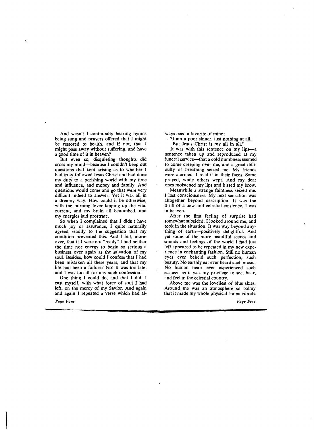And wasn't I continually hearing hymns being sung and prayers offered that 1 might be restored to health, and if not, that I might pass away without suffering, and have a good time of it in heaven?

But even so, disquieting thoughts did cross my mind-because 1 couldn't keep out questions that kept arising as to whether I had truly followed Jesus Christ and had done my duty to a perishing world with my time and influence, and money and family. And questions would come and go that were very difficult indeed to answer. Yet it was all in a dreamy way. How could it be otherwise, with the burning fever lapping up the vital current, and my brain all benumbed, and my energies laid prostrate.

So when I complained that I didn't have much joy or assurance, I quite naturally agreed readily to the suggestion that my condition prevented this. And I felt, moreover, that if I were not "ready" I had neither the time nor energy to begin so serious a business over again as the salvation of my soul. Besides, how could I confess that I had been mistaken all these years, and that my life had been a failure? No! It was too late, and I was too ill for any such confession.

One thing I could do, and that I did. I cast myself, with what force of soul I had left, on the mercy of my Savior. And again and again I repeated a verse which had always been a favorite of mine:

"I am a poor sinner, just nothing at all, But Jesus Christ is my all in alL"

It was with this sentence on my lips-a sentence taken up and reproduced at my funeral service-that a cold numbness seemed to come creeping over me, and a great difficulty of breathing seized me. My friends were alarmed. I read it in their faces. Some prayed, while others wept. And my dear ones moistened my lips and kissed my brow.

Meanwhile a strange faintness seized me. I lost consciousness. My next sensation was altogether beyond description. It was the thrill of a new and celestial existence. I was in heaven.

After the first feeling of surprise had somewhat subsided, I looked around me, and took in the situation. It was way beyond anything of earth-positively delightful. And yet some of the more beautiful scenes and sounds and feelings of the world I had just left appeared to be repeated in my new experience in enchanting fashion. Still no human eyes ever beheld such perfection, such beauty. No earthly ear ever heard such music. No human heart ever experienced such ecstasy, as it was my privilege to see, hear, and feel in the celestial country.

Above me was the loveliest of blue skies. Around me was an atmosphere so balmy that it made my whole physical frame vibrate

Page Five

Page Four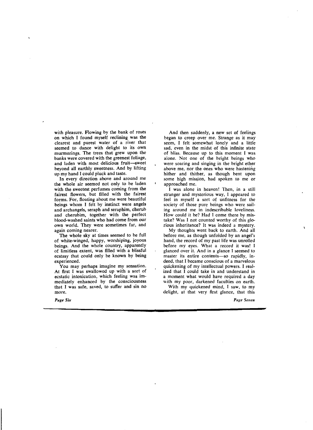with pleasure. Flowing by the bank of roses on which I found myself reclining was the clearest and purest water of a river that seemed to dance with delight to its own murmurings. The trees that grew upon the banks were covered with the greenest foliage, and laden with most delicious fruit--sweet beyond all earthly sweetness. And by lifting up my hand I could pluck and taste.

In every direction above and around me the whole air seemed not only to be laden with the sweetest perfumes coming from the fairest flowers, but filled with the fairest forms. For, floating about me were beautiful beings whom I felt by instinct were angels and archangels, seraph and seraphim, cherub and cherubim, together with the perfect blood-washed saints who had come from our own world. They were sometimes far, and again coming nearer.

The whole sky at times seemed to be full of white-winged, happy, worshiping, joyous beings. And the whole country, apparently of limitless extent, was filled with a blissful ecstasy that could only be known by being experienced.

You may perhaps imagine my sensation. At first I was swallowed up with a sort of ecstatic intoxication, which feeling was immediately enhanced by the consciousness that I was safe, saved, to suffer and sin no more.

And then suddenly, a new set of feelings began to creep over me. Strange as it may seem, I felt somewhat lonely and a little sad, even in the midst of this infinite state of bliss. Because up to this moment I was alone. Not one of the bright beings who were soaring and singing in the bright ether above me, nor the ones who were hastening hither and thither, as though bent upon some high mission, had spoken to me or approached me.

I was alone in heaven! Then, in a still stranger and mysterious way, I appeared to feel in myself a sort of unfitness for the society of those pure beings who were sailing around me in indescribable loveliness. How could it be? Had I come there by mistake? Was I not counted worthy of this glorious inheritance? It was indeed a mystery.

My thoughts went back to earth. And all before me, as though unfolded by an angel's hand, the record of my past life was unrolled before my eyes. What a record it was! I glanced over it. And in a glance I seemed to master its entire contents-so rapidly, indeed, that I became conscious of a marvelous quickening of my intellectual powers. I realized that I could take in and understand in a moment what would have required a day with my poor, darkened faculties on earth.

With my quickened mind, I saw, to my delight, at that very first glance, that this

*Page Seven* 

*Page Six*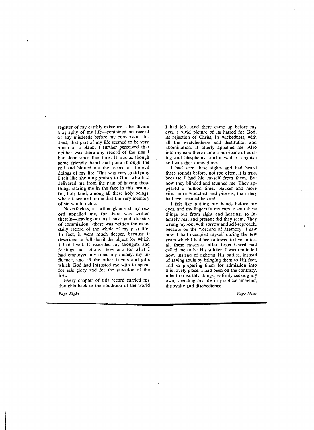register of my earthly existence-the Divine biography of my life--contained no record of any misdeeds before my conversion. Indeed, that part of my life seemed to be very much of a blank. I further perceived that neither was there any record of the sins I had done since that time. It was as though some friendly hand had gone through the rol1 and blotted out the record of the evil doings of my life. This was very gratifying. I felt like shouting praises to God, who had delivered me from the pain of having these things staring me in the face in this beautiful, holy land, among all these holy beings, where it seemed to me that the very memory of sin would defile.

Nevertheless, a further glance at my record appalled me, for there was written therein-leaving out, as I have said, the sins of commission-there was written the exact daily record of the whole of my past life! In fact, it went much deeper, because it described in full detail the object for which I had lived. It recorded my thoughts and feelings and actions-how and for what I had employed my time, my money, my influence, and all the other talents and gifts which God had intrusted me with to spend for His glory and for the salvation of the lost.

Every chapter of this record carried my thoughts back to the condition of the world

*Page Eight* 

I had left. And there came up before my eyes a vivid picture of its hatred for God, its rejection of Christ, its wickedness, with all the wretchedness and destitution and abomination. It utterly appalled me. Also into my ears there came a hurricane of cursing and blasphemy, and a wail of anguish and woe that stunned me.

I had seen these sights and had heard these sounds before, not too often, it is true, because I had hid myself from them. But now they blinded and stunned me. They appeared a million times blacker and more vile, more wretched and piteous, than they had ever seemed before!

I felt like putting my hands before my eyes, and my fingers in my ears to shut these things out from sight and hearing, so intensely real and present did they seem. They wrung my soul with sorrow and self-reproach, because on the "Record of Memory" I saw how I had occupied myself during the few years which I had been allowed to live amidst all these miseries, after Jesus Christ had called me to be His soldier. I was reminded how, instead of fighting His battles, instead of saving souls by bringing them to His feet, and so preparing them for admission into this lovely place, I had been on the contrary, intent on earthly things, selfishly seeking my own, spending .my life in practical unbelief, disioyalty and disobedience.

*Page Nine*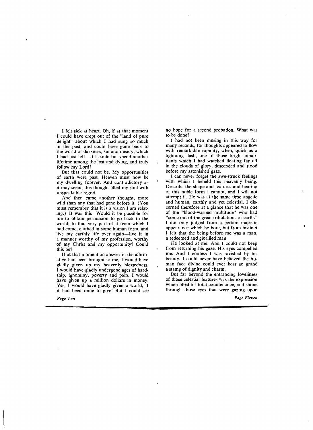I felt sick at heart. Oh, if at that moment I could have crept out of the "land of pure delight" about which I had sung so much in the past, and could have gone back to the world of darkness, sin and misery, which I had just left-if I could but spend another lifetime among the lost and dying, and truly follow my Lord!

But that could not be. My opportunities of earth were past. Heaven must now be my dwelling forever. And contradictory as it may seem, this thought filled my soul with unspeakable regret.

And then came another thought, more wild than any that had gone before it. (You must remember that it is a vision I am relating.) It was this: Would it be possible for me to obtain permission to go back to the world, to that very part of it from which I had come, clothed in some human form, and live my earthly life over again-live it in a manner worthy of my profession, worthy of my Christ and my opportunity? Could this be?

If at that moment an answer in the affirmative had been brought to me, I would have gladly given up my heavenly blessedness. I would have gladly undergone ages of hardship, ignominy, poverty and pain. I would have given up a million dollars in money. Yes, I would have gladly given a world, if it had been mine to give! But I could see no hope for a second probation. What was to be done?

I had not been musing in this way for many seconds, for thoughts appeared to flow with remarkable rapidity, when, quick as a lightning flash, one of those bright inhabitants which I had watched floating far off in the clouds of glory, descended and stood before my astonished gaze.

I can never forget the awe-struck feelings with which I beheld this heavenly being. Describe the shape and features and bearing of this noble form I cannot, and I will not attempt it. He was at the same time angelic and human, earthly and yet celestial. I discerned therefore at a glance that he was one of the "blood-washed multitude" who had "come out of the great tribulations of earth." I not only judged from a certain majestic appearance which he bore, but from instinct I felt that the being before me was a man, a redeemed and glorified man.

He looked at me. And I could not keep from returning his gaze. His eyes compelled me. And I confess I was ravished by his beauty. I could never have believed the human face divine could ever bear so grand a stamp of dignity and charm.

But far beyond the entrancing loveliness of those celestial features was the expression which filled his total countenance, and shone through those eyes that were gazing upon

Page Eleven

Page Ten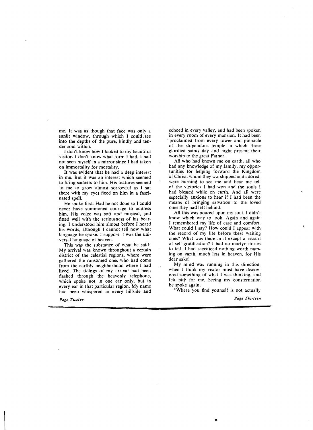me. It was as though that face was only a sunlit window, through which I could see into the depths of the pure, kindly and tender soul within.

I don't know how I looked to my beautiful visitor. I don't know what form I had. I had not seen myself in a mirror since I had taken on immortality for mortality.

It was evident that he had a deep interest in me. But it was an interest which seemed to bring sadness to him. His features seemed to me to grow almost sorrowful as I sat there with my eyes fixed on him in a fascinated spell.

He spoke first. Had he not done so I could never have summoned courage to address him. His voice was soft and musical, and fitted well with the seriousness of his bearing. I understood him almost before I heard his words, although I cannot tell now what language he spoke. I suppose it was the universal language of heaven.

This was the substance of what he said: My arrival was known throughout a certain district of the celestial regions, where were gathered the ransomed ones who had come from the earthly neighborhood where I had lived. The tidings of my arrival had been flashed through the heavenly telephone, which spoke not in one ear only, but in every ear in that particular region. My name had been whispered in every hillside and

echoed in every valley, and had been spoken in every room of every mansion. It had been . proclaimed from every tower and pinnacle of the stupendous temple in which these glorified saints day and night present their worship to the great Father.

All who had known me on earth, all who had any knowledge of my family, my opportunities for helping forward the Kingdom of Christ, whom they worshipped and adored, were burning to see me and hear me tell of the victories I had won and the souls I had blessed while on earth. And all were especially anxious to hear if I had been the means of bringing salvation to the loved ones they had left behind.

All this was poured upon my soul. I didn't know which way to look. Again and again I remembered my life of ease and comfort. What could I say? How could I appear with the record of my life before these waiting ones? What was there in it except a record of self-gratification? I had no martyr stories to tell. I had sacrificed nothing worth naming on earth, much less in heaven, for His dear sake!

My mind was running in this direction, when I think my visitor must have discovered something of what I was thinking, and felt pity for me. Seeing my consternation he spoke again.

"Where you find yourself is not actually

•

*Page Thirtem* 

*Page Twelve*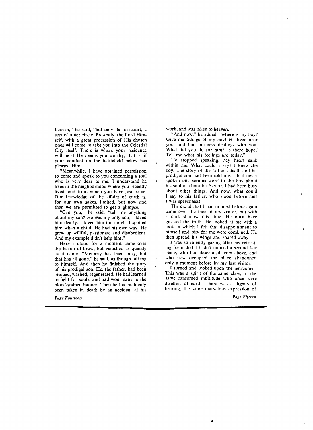heaven," he said, "but only its forecourt, a sort of outer circle. Presently, the Lord Himself, with a great procession of His chosen ones will come to take you into the Celestial City itself. There is where your residence will be if He deems you worthy; that is, if your conduct on the battlefield below has pleased Him.

"Meanwhile, I have obtained permission to come and speak to you concerning a soul who is very dear to me. I understand he lives in the neighborhood where you recently lived, and from which you have just come. Our knowledge of the affairs of earth is, for our own sakes, limited, but now and then we are permitted to get a glimpse.

"Can you," he said, "tell me anything about my son? He was my only son. I loved him dearly. I loved him too much. I spoiled him when a child! He had his own way. He grew up willful, passionate and disobedient. And my example didn't help him."

Here a cloud for a moment came over the beautiful brow, but vanished as quickly as it came. "Memory has been busy, but that has all gone," he said, as though talking to himself. And then he finished the story of his prodigal son. He, the father, had been rescued, washed, regenerated. He had learned to fight for souls, and had won many to the blood-stained banner. Then he had suddenly been taken in death by an accident at his

*Page Fourteen* 

work, and was taken to heaven.

"And now," he added, "where is my boy? Give me tidings of my boy! He lived near you, and had business dealings with you. What did you do for him? Is there hope? Tell me what his feelings are today."

He stopped speaking. My heart sank within me. What could I say? I knew the boy. The story of the father's death and his prodigal son had been told me. I had never spoken one serious word to the boy about his soul or about his Savior. I had been busy about other things. And now, what could I say to his father, who stood before me? I was speechless!

The cloud that I had noticed before again came over the face of my visitor, but with a dark shadow this time. He must have guessed the truth. He looked at me with a look in which I felt that disappointment to himself and pity for me were combined. He then spread his wings and soared away.

I was so intently gazing after his retreating form that I hadn't noticed a second fair being, who had descended from above, and who now occupied the place abandoned only a moment before by my last visitor.

I turned and looked upon the newcomer. This was a spirit of the same class, of the same ransomed multitude who once were dwellers of earth. There was a dignity of bearing. the same marvelous expression of

•

Page Fifteen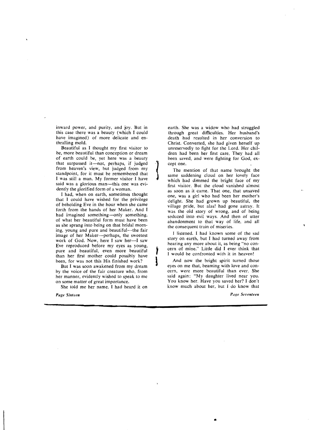inward power, and purity, and joy. But in this case there was a beauty (which I could have imagined) of more delicate and enthralling mold.

Beautiful as I thought my first visitor to be, more beautiful than conception or dream of earth could be, yet here was a beauty that surpassed it-not, perhaps, if judged from heaven's view, but judged from my standpoint, for it must be remembered that I was still a man. My former visitor I have said was a glorious man-this one was evidently the glorified form of a woman.

'J

.

 $\int$ 

I had, when on earth, sometimes thought that I could have wished for the privilege of beholding Eve in the hour when she came forth from the hands of her Maker. And I had imagined something-only something, of what her beautiful form must have been as she sprang into being on that bridal morning, young and pure and beautiful-the fair image of her Maker-perhaps, the sweetest work of God. Now, here I saw her-I saw Eve reproduced before my eyes as young, pure and beautiful, even more beautiful than her first mother could possibly have been, for was not this His finished work?

But I was soon awakened from my dream by the voice of the fair creature who, from her manner, evidently wished to speak to me on some matter of great importance.

She told me her name. I had heard it on

*Page Sixteen* 

earth. She was a widow who had struggled through great difficulties. Her husband's death had resulted in her conversion to Christ. Converted, she had given herself up unreservedly to fight for the Lord. Her children had been her first care. They had all been saved, and were fighting for God, except one.

 The mention of that name brought the same saddening cloud on her lovely face which had dimmed the bright face of my first visitor. But the cloud vanished almost as soon as it came. That one, that unsaved one, was a girl who had been her mother's delight. She had grown up beautiful, the village pride, but alas! had gone astray. It was the old story of wrong, and of being seduced into evil ways. And then of utter abandonment to that way of life, and all the consequent train of miseries.

J listened. I had known some of the sad story on earth, but I had turned away from hearing any more about it, as being "no concern of mine." Little did I ever think that ) I would be confronted with it in heaven!

And now the bright spirit turned those eyes on me that, beaming with love and concern, were more beautiful than ever. She said again: "My daughter lived near you. You know her. Have you saved her? I don't know much about her, but I do know that

•

Page Seventeen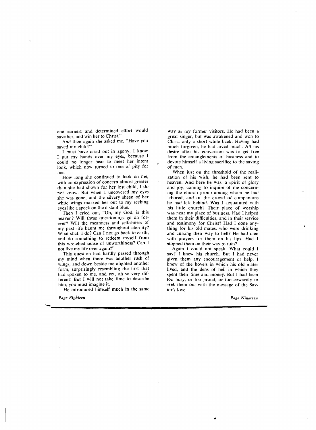one earnest and determined effort would save her, and win her to Christ."

And then again she asked me, "Have you saved my child?"

I must have cried out in agony. I know I put my hands over my eyes, because I could no longer bear to meet her intent look, which now turned to one of pity for

me. How long she continued to look on me, with an expression of concern almost greater than she had shown for her lost child, I do not know. But when I uncovered my eyes she was gone, and the silvery sheen of her white wings marked her out to my seeking eyes like a speck on the distant blue.

Then I cried out, "Oh, my God, is this heaven? Will these questionings go on forever? Will the meanness and selfishness of my past life haunt me throughout eternity? What shall I do? Can I not go back to earth, and do something to redeem myself from this wretched sense of unworthiness? Can I not live my life over again?"

This question had hardly passed through my mind when there was another rush of wings, and down beside me alighted another form, surprisingly resembling the first that had spoken to me, and yet, oh so very different! But I will not take time to describe him; you must imagine it.

He introduced himself much in the same

**---------------------------------------------------------**

*Page Eighteen* 

way as my former visitors. He had been a great singer, but was awakened and won to Christ only a short while back. Having had much forgiven, he had loved much. All his desire after his conversion was to get free from the entanglements of business and to devote himself a living sacrifice to the saving of men.

When just on the threshold of the realization of his wish, he had been sent to heaven. And here he was, a spirit of glory and joy, coming to inquire of me concerning the church group among whom he had labored, and of the crowd of companions he had left behind. Was I acquainted with his little church? Their place of worship was near my place of business. Had I helped them in their difficulties, and in their service and testimony for Christ? Had I done anything for his old mates, who were drinking and cursing their way to hell? He had died with prayers for them on his lips. Had I stopped them on their way to ruin?

Again I could not speak. What could I say? I knew his church. But I had never given them any encouragement or help. I knew of the hovels in which his old mates lived, and the dens of hell in which they spent their time and money. But I had been too busy, or too proud, or too cowardly to seek them out with the message of the Savior's love.

•

*Page Nineteen*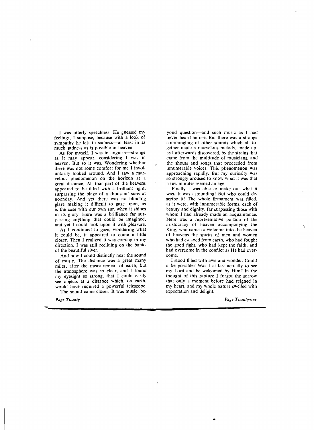I was utterly speechless. He guessed my feelings, I suppose, because with a look of sympathy he left in sadness-at least in as much sadness as is possible in heaven.

As for myself, I was in anguish-strange as it may appear, considering I was in heaven. But so it was. Wondering whether there was not some comfort for me I involuntarily looked around. And I saw a marvelous phenomenon on the horizon at a great distance. All that part of the heavens appeared to be filled with a brilliant light, surpassing the blaze of a thousand suns at noonday. And yet there was no blinding glare making it difficult to gaze upon, as is the case with our own sun when it shines in its glory. Here was a brilliance far surpassing anything that could be imagined, and yet I could look upon it with pleasure.

As I continued to gaze, wondering what it could be, it appeared to come a little closer. Then I realized it was coming in my direction. I was still reclining on the banks of the beautiful river.

And now I could distinctly hear the sound of music. The distance was a great many miles, after the measurement of earth, but the atmosphere was so clear, and I found my eyesight so strong, that I could easily see objects at a distance which, on earth, would have required a powerful telescope. The sound came closer. It was music, be-

yond question-and such music as I had never heard before. But there was a strange commingling of other sounds which all together made a marvelous melody, made up, as I afterwards discovered, by the strains that came from the multitude of musicians, and the shouts and songs that proceeded from innumerable voices. This phenomenon was approaching rapidly. But my curiosity was so strongly aroused to know what it was that a few minutes seemed an age.

Finally I was able to make out what it was. It was astounding! But who could describe it! The whole firmament was filled, as it were, with innumerable forms, each of beauty and dignity, far surpassing those with whom I had already made an acquaintance. Here was a representative portion of the aristocracy of heaven accompanying the King, who came to welcome into the heaven of heavens the spirits of men and women who had escaped from earth, who had fought the good fight, who had kept the faith, and had overcome in the conflict as He had overcome.

I stood filled with awe and wonder. Could it be possible? Was I at last actually to see my Lord and be welcomed by Him? In the thought of this rapture I forgot the sorrow that only a moment before had reigned in my heart, and my whole nature swelled with expectation and delight. The sound came closer. It was music, be-<br>
Page Twenty-one<br>
Page Twenty-one<br>
Page Twenty-one

•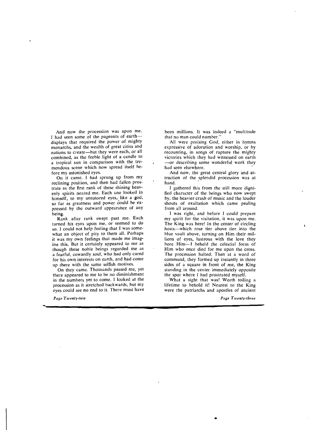And now the procession was upon me. I had seen some of the pageants of earthdisplays that required the power of mighty monarchs, and the wealth of great cities and nations to create-but they were each, or all combined, as the feeble light of a candle to a tropical sun in comparison with the tremendous scene which now spread itself before my astonished eyes.

On it came. I had sprung up from my reclining position, and then had fallen prostrate as the first rank of these shining heavenly spirits neared me. Each one looked in himself, to my untutored eyes, like a god, so far as greatness and power could be expressed by the outward appearance of any being.

Rank after rank swept past me. Each turned his eyes upon me, or seemed to do so. I could not help feeling that I was somewhat an object of pity to them all. Perhaps it was my own feelings that made me imagine this. But it certainly appeared to me as though these noble beings regarded me as a fearful, cowardly soul, who had only cared for his own interests on earth, and had come up there with the same selfish motives.

On they came. Thousands passed me, yet there appeared to me to be no diminishment in the numbers yet to come. I looked at the procession as it stretched backwards, but my eyes could see no end to it. There must have

*Page Tu'enty.tu'o* 

been millions. It was indeed a "multitude that no man could number."

All were praising God, either in hymns expressive of adoration and worship, or by recounting, in songs of rapture the mighty victories which they had witnessed on earth -or describing some wonderful work they had seen elsewhere.

And now, the great central glory and attraction of the splendid procession was at hand.

I gathered this from the still more dignified character of the beings who now swept by, the heavier crash of music and the louder shouts of exultation which came pealing from all around.

I was right, and before I could prepare my spirit for the visitation, it was upon me. The King was here! In the center of circling hosts—which rose tier above tier into the blue vault above. turning on Him their millions of eyes, lustrous with the love they bore Him-I beheld the celestial form of Him who Once died for me upon the cross. The procession halted. Then at a word of command, they formed up instantly in three sides of a square in front of me, the King standing in the center immediately opposite the spot where I had prostrated myself.

What a sight that was! Worth toiling a lifetime to behold it! Nearest to the King were the patriarchs and apostles of ancient

•

Page Twenty-three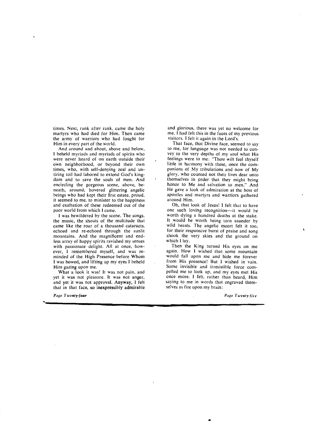times. Next, rank after rank, came the holy martyrs who had died for Him. Then came the army of warriors who had fought for Him in every part of the world.

And around and about, above and below, I beheld myriads and myriads of spirits who were never heard of on earth outside their own neighborhood, or beyond their own times, who, with self-denying zeal and untiring toil had labored to extend God's kingdom and to save the souls of men. And encircling the gorgeous scene, above, beneath, around, hovered glittering angelic beings who had kept their first estate, proud, it seemed to me, to minister to the happiness and exaltation of these redeemed out of the poor world from which I came.

I was bewildered by the scene. The songs, the music, the shouts of the multitude that came like the roar of a thousand cataracts, echoed and re-echoed through the sunlit mountains. And the magnificent and endless array of happy spirits ravished my senses with passionate delight. All at once, however, I remembered myself, and was reminded of the High Presence before Whom I was bowed, and lifting up my eyes I beheld Him gazing upon me.

What a look it was! It was not pain, and yet it was not pleasure. It was not anger, and yet it was not approval. Anyway, I felt that in that face, so inexpressibly admirable

Page Twenty-four

and glorious, there was yet no welcome for me. I had felt this in the faces of my previous visitors. I felt it again in the Lord's.

That face, that Divine face, seemed to say to me, for language Was not needed to convey to the very depths of my soul what His feelings were to me: "Thou wilt feel thyself little in harmony with these, once the companions of My tribulations and now of My glory, who counted not their lives dear unto themselves in 9rder that they might bring honor to Me and salvation to men." And He gave a look of admiration at the host of apostles and martyrs and warriors gathered around Him.

Oh, that look of Jesus! I felt that to have one such loving recognition-it would be worth dying a hundred deaths at the stake. It would be worth being torn asunder by wild beasts. The angelic escort felt it too, for their responsive burst of praise and song shook the very skies and the ground on which I lay,

Then the King turned His eyes on me again. How I wished that some mountain would fall upon me and hide me forever from His presence! But I wished in vain. Some invisible and irresistible force compelled me to look up, and my eyes met His once more. I felt, rather than heard, Him saying to me in words that engraved themselves as fire upon my brain:

•

Page Twenty-five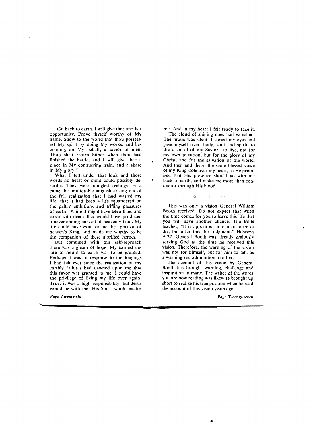"Go back to earth. I will give thee another opportunity. Prove thyself worthy of My name. Show to the world that thou possessest My spirit by doing My works, and becoming, on My behalf, a savior of men. Thou shalt return hither when thou hast finished the battle, and I will give thee a place in My conquering train, and a share in My glory.'

What I felt under that look and those words no heart or mind could possibly describe. They were mingled feelings. First came the unutterable anguish arising out of the full realization that I had wasted my life, that it had been a life squandered on the paltry ambitions and trifling pleasures of earth-while it might have been filled and sown with deeds that would have produced a never-ending harvest of heavenly fruit. My life could have won for me the approval of heaven's King, and made me worthy to be the companion of these glorified heroes.

But combined with this self-reproach there was a gleam of hope. My earnest desire to return to earth was to be granted. Perhaps it was in response to the longings I had felt ever since the realization of my earthly failures had dawned upon me that this favor was granted to me. I could have the privilege of living my life over again. True, it was a high responsibility. but Jesus would be with me. His Spirit would enable

*Page Twenty-six* 

me. And in my heart I felt ready to face it. The cloud of shining ones had vanished. The music was silent. I closed my eyes and gave myself over, body, soul and spirit, to the disposal of my Savior-to live, not for my own salvation, but for the glory of my Christ, and for the salvation of the world. And then and there, the same blessed voice of my King stole over my heart, as He promised that His presence should go with me back to earth, and make me more than conqueror through His blood.

## ☆ ☆ ☆

This was only a vision General William Booth received. Do not expect that when the time comes for you to leave this life that you will have another chance. The Bible teaches, "It is appointed unto man, once to die, but after this the judgment." Hebrews 9:27. General Booth was already zealously serving God at the time he received this vision. Therefore, the warning of the vision was not for himself, but for him to tell, as a warning and admonition to others.

The account of this vision by General Booth has brought warning, challenge and inspiration to many. The writer of the words you are now reading was likewise brought up short to realize his true position when he read the account of this vision years ago.

•

Page Twenty-seven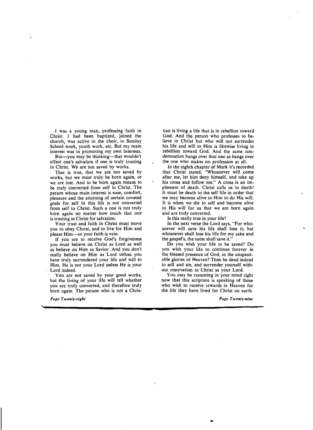I was a young man, professing faith in Christ. I had been baptized, joined the church, was active in the choir, in Sunday School work, youth work, etc. But my main interest was in promoting my own interests.

But-you may be thinking-that wouldn't affect one's salvation if one is truly trusting in Christ. We are not saved by works.

That is true, that we are not saved by works, but we must truly be born again, or we are lost. And to be born again means to be truly converted from self to Christ. The person whose main interest is ease, comfort, pleasure and the attaining of certain coveted goals for self in this life is not converted from self to Christ. Such a one is not truly born again no matter how much that one is trusting in Christ for salvation.

Your trust and faith in Christ must move you to obey Christ, and to live for Him and please Him-or your faith is vain.

If you are to receive God's forgiveness you must believe on Christ as Lord as well as believe on Him as Savior. And you don't really believe on Him as Lord unless you have truly surrendered your life and wiII to Him. He is not your Lord unless He is your Lord indeed.

You are not saved by your good works, but the living of your life will tell whether you are truly converted, and therefore truly born again. The person who is not a Chris-

*Page Twent,-eight* 

tian is living a life that is in rebellion toward God. And the person who professes to believe in Christ but who will not surrender his life and will to Him is likewise living in rebellion toward God. And the same condemnation hangs over that one as hangs over the one who makes no profession at all.

In the eighth chapter of Mark it's recorded that Christ stated, "Whosoever will come after me, let him deny himself, and take up his cross and follow me." A cross is an implement of death. Christ calls us to death! It must be death to the self life in order that we may become alive to Him to do His will. It is when we die to self and become alive to His will for us that we are born again and are truly converted.

Is this realIy true in your life?

In the next verse the Lord says, "For whosoever will save his life shall lose it; but whosoever shall lose his life for my sake and the gospel's, the same shall save it."

Do you wish your life to be saved? Do you wish your life to continue forever in the blessed presence of God, in the unspeak. able glories of Heaven? Then be dead indeed to self and sin, and surrender yourself without reservation to Christ as your Lord.

You may be reasoning in your mind right now that this scripture is speaking of those who wish to receive rewards in Heaven for the life they have lived for Christ on earth.

•

*Page Twent,-nine*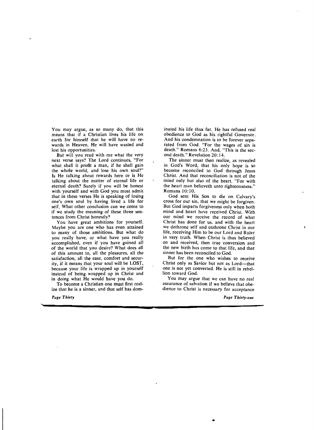You may argue, as so many do, that this means that if a Christian lives his life on earth for himself that he will have no rewards in Heaven. He will have wasted and lost his opportunities.

But will you read with me what the very next verse says? The Lord continues, "For what shall it profit a man, if he shall gain the whole world, and lose his own soul?" Is He talking about rewards here or is He talking about the matter of eternal life or eternal death? Surely if you will be honest with yourself and with God you must admit that in these verses He is speaking of losing one's own soul by having lived a life for self. What other conclusion can we come to if we study the meaning of these three sentences from Christ honestly?

You have great ambitions for yourself. Maybe you are one who has even attained to many of those ambitions. But what do you really have, or what have you really accomplished, even if you have gained all of the world that you desire? What does all of this amount to, all the pleasures, all the satisfaction, all the ease, comfort and security, if it means that your soul will be LOST, because your life is wrapped up in yourself instead of being wrapped up in Christ and in doing what He would have you do.

To become a Christian one must first realize that he is a sinner, and that self has dom-

ina ted his life thus far. He has refused real obedience to God as his rightful Governor. And his condemnation is to be forever separated from God. "For the wages of sin is death." Romans 6:23. And, "This is the second death." Revelation 20: 14.

The sinner must then realize, as revealed in God's Word, that his only hope is to become reconciled to God through Jesus Christ. And that reconciliation is not of the mind only but also of the heart. "For with the heart man believeth unto righteousness." Romans 10:10.

God sent His Son to die on Calvary's cross for our sin, that we might be forgiven. But God imparts forgiveness only when both mind and heart have received Christ. With our mind we receive the record of what Christ has done for us, and with the heart we dethrone self and enthrone Christ in our life, receiving Him to be our Lord and Ruler in very truth. When Christ is thus believed on and received, then true conversion and the new birth has come to that life, and that sinner has been reconciled to God.

But for the one who wishes to receive Christ only as Savior but not as Lord-that one is not yet converted. He is still in rebellion toward God.

You may argue that we can have no real assurance of salvation if we believe that obedience to Christ is necessary for acceptance

•

*Page Thirty.one* 

*Page Thirty*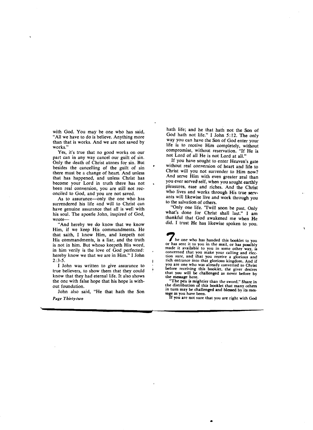with God. You may be one who has said, "All we have to do is believe. Anything more than that is works. And we are not saved by works."

Yes, it's true that no good works on our part can in any way cancel our guilt of sin. Only the death of Christ atones for sin. But besides the cancelling of the guilt of sin there must be a change of heart. And unless that has happened, and unless Christ has become your Lord in truth there has not been real conversion, you are still not reconciled to God, and you are not saved.

As to assurance---only the one who has surrendered his life and will to Christ can have genuine assurance that all is well with his soul. The apostle John, inspired of God, wrote

"And hereby we do know that we know Him, if we keep His commandments. He that saith, I know Him, and keepeth not His commandments, is a liar, and the truth is not in him. But whoso keepeth His word, in him verily is the love of God perfected: hereby know we that we are in Him." I John  $2:3-5.$ 

I John was written to give assurance to true believers, to show them that they could know that they had eternal life. It also shows the one with false hope that his hope is without foundation.

John also said, "He that hath the Son

*Page Thirty-two* 

hath life; and he that hath not the Son of God hath not life." I John 5:12. The only way you can have the Son of God enter your life is to receive Him completely, without compromise, Without reservation. "If He is not Lord of all He is not Lord at all."

If you have sought to enter Heaven's gate without real conversion of heart and life to Christ will you not surrender to Him now? And serve Him with even greater zeal than you ever served self, when you sought earthly pleasures, ease and riches. And the Christ who lives and works through His true servants will likewise live and work through you to the salvation of others.

"Only one life. 'Twill soon be past. Only what's done for Christ shall last." I am thankful that God awakened me when He did. I trust He has likewise spoken to you.

The one who has handed this booklet to you or has sent it to you in the mail, or has possibly made it available to you in some other way, is concerned that you make your calling and election sure, and that you receive a glorious and rich entrance into that glorious kingdom. And if you are one who was already converted to Christ<br>before receiving this booklet, the giver desires that you will be challenged as never before by the message here.

"The pen is mightier than the sword." Share in in turn may be challenged and blessed by its mes-If you are not sure that you are right with God<br>If you are not sure that you are right with God

•